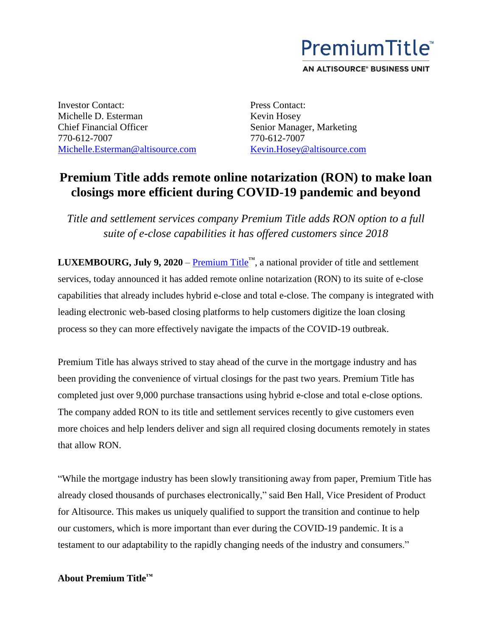

AN ALTISOURCE® BUSINESS UNIT

Investor Contact: Michelle D. Esterman Chief Financial Officer 770-612-7007 Michelle.Esterman@altisource.com Press Contact: Kevin Hosey Senior Manager, Marketing 770-612-7007 [Kevin.Hosey@altisource.com](mailto:Kevin.Hosey@altisource.com)

## **Premium Title adds remote online notarization (RON) to make loan closings more efficient during COVID-19 pandemic and beyond**

*Title and settlement services company Premium Title adds RON option to a full suite of e-close capabilities it has offered customers since 2018*

**LUXEMBOURG, July 9, 2020** – [Premium Title](https://www.mypremiumtitle.com/)<sup>™</sup>, a national provider of title and settlement services, today announced it has added remote online notarization (RON) to its suite of e-close capabilities that already includes hybrid e-close and total e-close. The company is integrated with leading electronic web-based closing platforms to help customers digitize the loan closing process so they can more effectively navigate the impacts of the COVID-19 outbreak.

Premium Title has always strived to stay ahead of the curve in the mortgage industry and has been providing the convenience of virtual closings for the past two years. Premium Title has completed just over 9,000 purchase transactions using hybrid e-close and total e-close options. The company added RON to its title and settlement services recently to give customers even more choices and help lenders deliver and sign all required closing documents remotely in states that allow RON.

"While the mortgage industry has been slowly transitioning away from paper, Premium Title has already closed thousands of purchases electronically," said Ben Hall, Vice President of Product for Altisource. This makes us uniquely qualified to support the transition and continue to help our customers, which is more important than ever during the COVID-19 pandemic. It is a testament to our adaptability to the rapidly changing needs of the industry and consumers."

## **About Premium Title™**